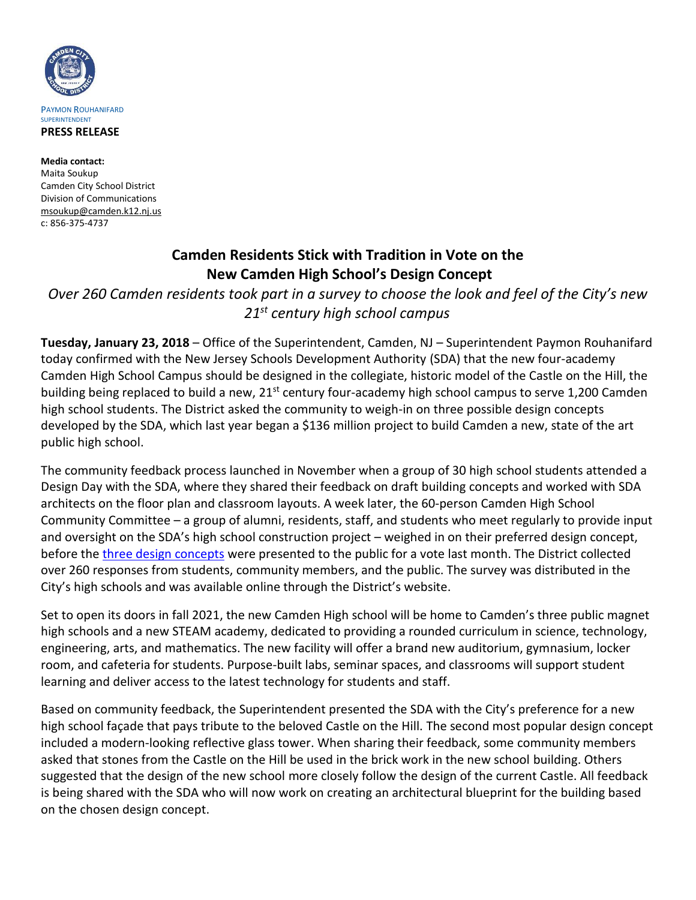

**Media contact:** Maita Soukup Camden City School District Division of Communications [msoukup@camden.k12.nj.us](mailto:msoukup@camden.k12.nj.us) c: 856-375-4737

## **Camden Residents Stick with Tradition in Vote on the New Camden High School's Design Concept**

*Over 260 Camden residents took part in a survey to choose the look and feel of the City's new 21st century high school campus*

**Tuesday, January 23, 2018** – Office of the Superintendent, Camden, NJ – Superintendent Paymon Rouhanifard today confirmed with the New Jersey Schools Development Authority (SDA) that the new four-academy Camden High School Campus should be designed in the collegiate, historic model of the Castle on the Hill, the building being replaced to build a new, 21<sup>st</sup> century four-academy high school campus to serve 1,200 Camden high school students. The District asked the community to weigh-in on three possible design concepts developed by the SDA, which last year began a \$136 million project to build Camden a new, state of the art public high school.

The community feedback process launched in November when a group of 30 high school students attended a Design Day with the SDA, where they shared their feedback on draft building concepts and worked with SDA architects on the floor plan and classroom layouts. A week later, the 60-person Camden High School Community Committee – a group of alumni, residents, staff, and students who meet regularly to provide input and oversight on the SDA's high school construction project – weighed in on their preferred design concept, before the [three design concepts](http://www.camden.k12.nj.us/community/the_new_camden_high/the_new_chs_exterior_building_concept) were presented to the public for a vote last month. The District collected over 260 responses from students, community members, and the public. The survey was distributed in the City's high schools and was available online through the District's website.

Set to open its doors in fall 2021, the new Camden High school will be home to Camden's three public magnet high schools and a new STEAM academy, dedicated to providing a rounded curriculum in science, technology, engineering, arts, and mathematics. The new facility will offer a brand new auditorium, gymnasium, locker room, and cafeteria for students. Purpose-built labs, seminar spaces, and classrooms will support student learning and deliver access to the latest technology for students and staff.

Based on community feedback, the Superintendent presented the SDA with the City's preference for a new high school façade that pays tribute to the beloved Castle on the Hill. The second most popular design concept included a modern-looking reflective glass tower. When sharing their feedback, some community members asked that stones from the Castle on the Hill be used in the brick work in the new school building. Others suggested that the design of the new school more closely follow the design of the current Castle. All feedback is being shared with the SDA who will now work on creating an architectural blueprint for the building based on the chosen design concept.